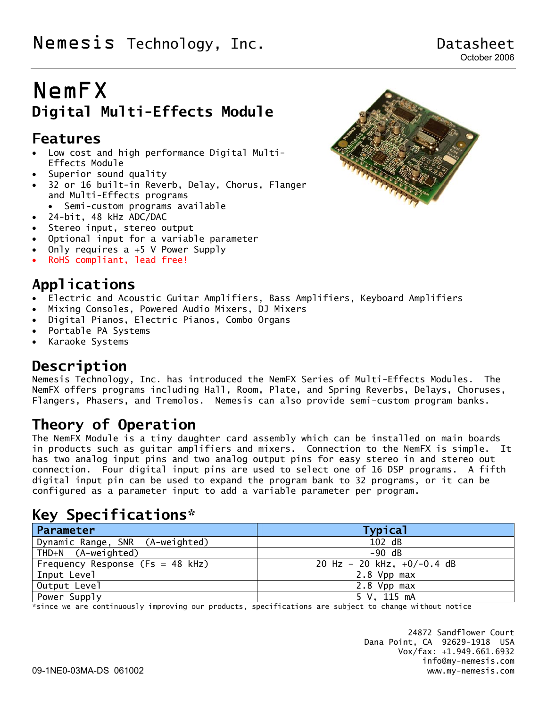# NemFX **Digital Multi-Effects Module**

## **Features**

- Low cost and high performance Digital Multi-Effects Module
- Superior sound quality
- 32 or 16 built-in Reverb, Delay, Chorus, Flanger and Multi-Effects programs
- Semi-custom programs available
- 24-bit, 48 kHz ADC/DAC
- Stereo input, stereo output
- Optional input for a variable parameter
- Only requires  $a +5$  V Power Supply
- RoHS compliant, lead free!

# **Applications**

- Electric and Acoustic Guitar Amplifiers, Bass Amplifiers, Keyboard Amplifiers
- Mixing Consoles, Powered Audio Mixers, DJ Mixers
- Digital Pianos, Electric Pianos, Combo Organs
- Portable PA Systems
- Karaoke Systems

# **Description**

Nemesis Technology, Inc. has introduced the NemFX Series of Multi-Effects Modules. The NemFX offers programs including Hall, Room, Plate, and Spring Reverbs, Delays, Choruses, Flangers, Phasers, and Tremolos. Nemesis can also provide semi-custom program banks.

# **Theory of Operation**

The NemFX Module is a tiny daughter card assembly which can be installed on main boards in products such as guitar amplifiers and mixers. Connection to the NemFX is simple. It has two analog input pins and two analog output pins for easy stereo in and stereo out connection. Four digital input pins are used to select one of 16 DSP programs. A fifth digital input pin can be used to expand the program bank to 32 programs, or it can be configured as a parameter input to add a variable parameter per program.

# **Key Specifications\***

| Parameter                          | <b>Typical</b>               |
|------------------------------------|------------------------------|
| Dynamic Range, SNR (A-weighted)    | 102 dB                       |
| THD+N (A-weighted)                 | $-90$ dB                     |
| Frequency Response (Fs = $48$ kHz) | 20 Hz - 20 kHz, $+0/-0.4$ dB |
| Input Level                        | 2.8 Vpp max                  |
| Output Level                       | 2.8 Vpp max                  |
| Power Supply                       | 5 V. 115 mA                  |

\*since we are continuously improving our products, specifications are subject to change without notice

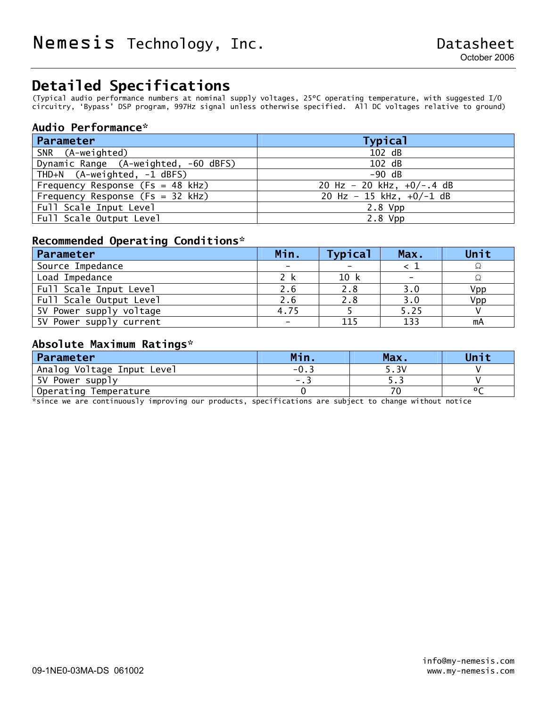# **Detailed Specifications**

(Typical audio performance numbers at nominal supply voltages, 25ºC operating temperature, with suggested I/O circuitry, 'Bypass' DSP program, 997Hz signal unless otherwise specified. All DC voltages relative to ground)

#### **Audio Performance\***

| Parameter                            | <b>Typical</b>              |
|--------------------------------------|-----------------------------|
| SNR (A-weighted)                     | 102 dB                      |
| Dynamic Range (A-weighted, -60 dBFS) | 102 dB                      |
| THD+N (A-weighted, -1 dBFS)          | $-90$ dB                    |
| Frequency Response (Fs = $48$ kHz)   | 20 Hz - 20 kHz, $+0/-.4$ dB |
| Frequency Response (Fs = 32 kHz)     | 20 Hz - 15 kHz, $+0/-1$ dB  |
| Full Scale Input Level               | $2.8$ Vpp                   |
| Full Scale Output Level              | $2.8$ Vpp                   |

#### **Recommended Operating Conditions\***

| Parameter               | Min. | <b>Typical</b> | Max.                     | Unit |
|-------------------------|------|----------------|--------------------------|------|
| Source Impedance        |      |                |                          |      |
| Load Impedance          | 2 k  | 10 k           | $\overline{\phantom{0}}$ |      |
| Full Scale Input Level  | 2.6  | 2.8            | 3.0                      | Vpp  |
| Full Scale Output Level | 2.6  | 2.8            | 3.0                      | Vpp  |
| 5V Power supply voltage | 4.75 |                | 5.25                     |      |
| 5V Power supply current |      | 115            | 133                      | mA   |

#### **Absolute Maximum Ratings\***

| Parameter                  | Min         | Max.  | Unit |
|----------------------------|-------------|-------|------|
| Analog Voltage Input Level | - 0.        | 5.3V  |      |
| 5V Power supply            | $\sim -1.5$ | ر . ر |      |
| Operating<br>Temperature   |             |       |      |

\*since we are continuously improving our products, specifications are subject to change without notice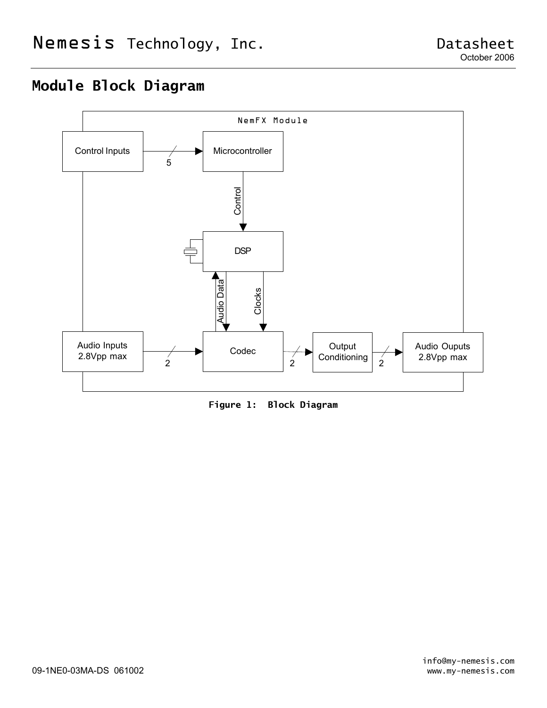# **Module Block Diagram**



**Figure 1: Block Diagram**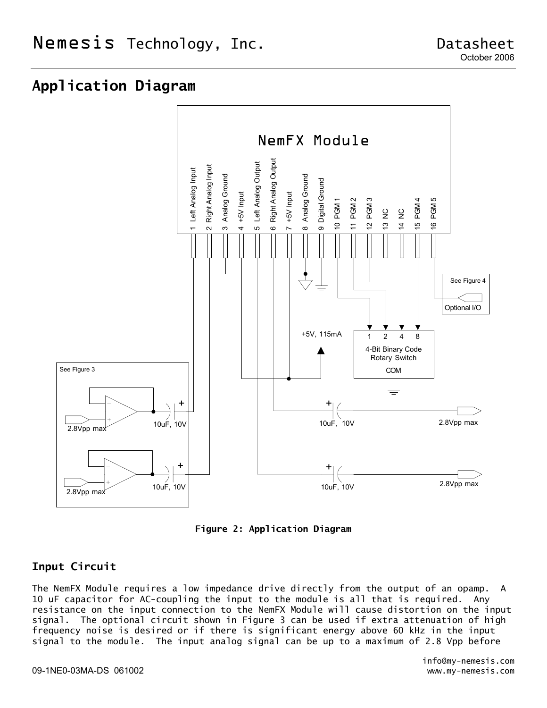## **Application Diagram**



**Figure 2: Application Diagram** 

#### **Input Circuit**

The NemFX Module requires a low impedance drive directly from the output of an opamp. A 10 uF capacitor for AC-coupling the input to the module is all that is required. Any resistance on the input connection to the NemFX Module will cause distortion on the input signal. The optional circuit shown in Figure 3 can be used if extra attenuation of high frequency noise is desired or if there is significant energy above 60 kHz in the input signal to the module. The input analog signal can be up to a maximum of 2.8 Vpp before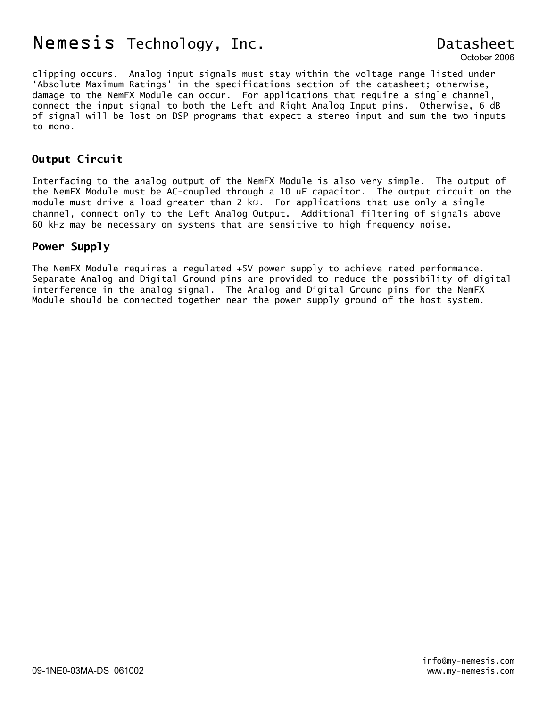# Nemesis Technology, Inc. The contract of Datasheet

clipping occurs. Analog input signals must stay within the voltage range listed under 'Absolute Maximum Ratings' in the specifications section of the datasheet; otherwise, damage to the NemFX Module can occur. For applications that require a single channel, connect the input signal to both the Left and Right Analog Input pins. Otherwise, 6 dB of signal will be lost on DSP programs that expect a stereo input and sum the two inputs to mono.

#### **Output Circuit**

Interfacing to the analog output of the NemFX Module is also very simple. The output of the NemFX Module must be AC-coupled through a 10 uF capacitor. The output circuit on the module must drive a load greater than 2 kΩ. For applications that use only a single channel, connect only to the Left Analog Output. Additional filtering of signals above 60 kHz may be necessary on systems that are sensitive to high frequency noise.

#### **Power Supply**

The NemFX Module requires a regulated +5V power supply to achieve rated performance. Separate Analog and Digital Ground pins are provided to reduce the possibility of digital interference in the analog signal. The Analog and Digital Ground pins for the NemFX Module should be connected together near the power supply ground of the host system.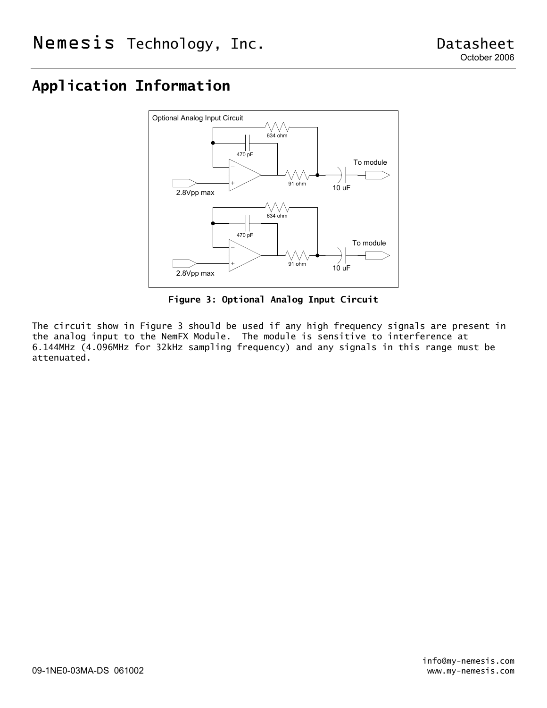# **Application Information**



**Figure 3: Optional Analog Input Circuit** 

The circuit show in Figure 3 should be used if any high frequency signals are present in the analog input to the NemFX Module. The module is sensitive to interference at 6.144MHz (4.096MHz for 32kHz sampling frequency) and any signals in this range must be attenuated.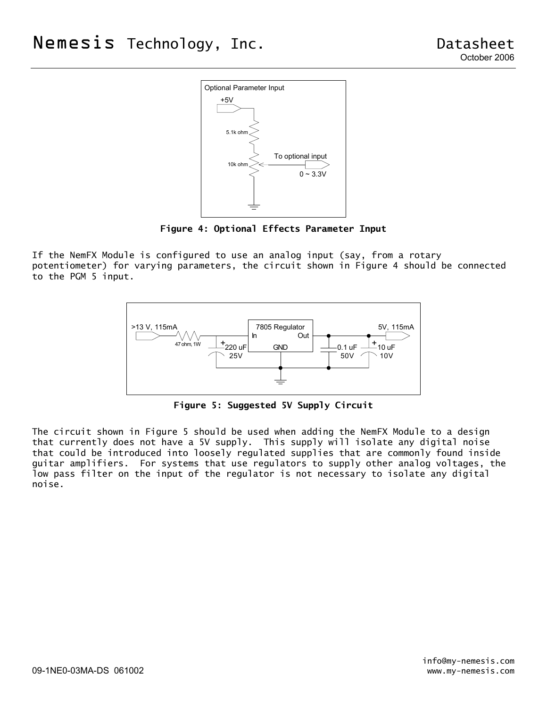

**Figure 4: Optional Effects Parameter Input** 

If the NemFX Module is configured to use an analog input (say, from a rotary potentiometer) for varying parameters, the circuit shown in Figure 4 should be connected to the PGM 5 input.



**Figure 5: Suggested 5V Supply Circuit** 

The circuit shown in Figure 5 should be used when adding the NemFX Module to a design that currently does not have a 5V supply. This supply will isolate any digital noise that could be introduced into loosely regulated supplies that are commonly found inside guitar amplifiers. For systems that use regulators to supply other analog voltages, the low pass filter on the input of the regulator is not necessary to isolate any digital noise.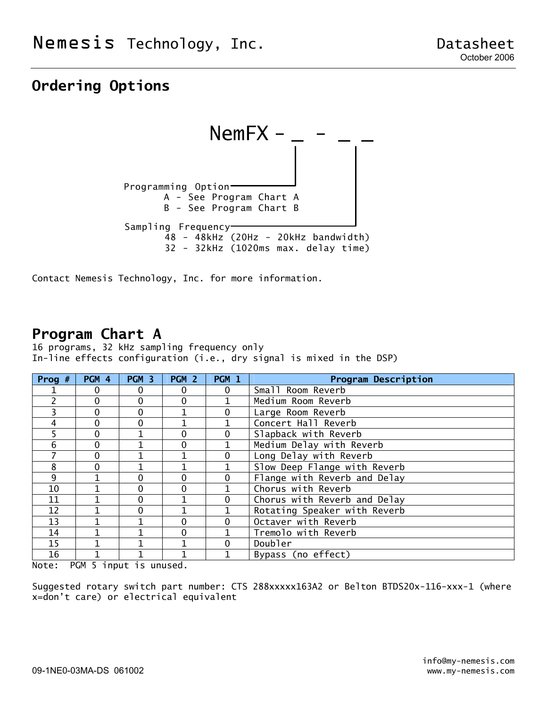# **Ordering Options**



Contact Nemesis Technology, Inc. for more information.

### **Program Chart A**

16 programs, 32 kHz sampling frequency only In-line effects configuration (i.e., dry signal is mixed in the DSP)

| Prog $#$      | PGM 4  | PGM <sub>3</sub> | PGM <sub>2</sub> | PGM 1        | <b>Program Description</b>   |
|---------------|--------|------------------|------------------|--------------|------------------------------|
|               | 0      | $\Omega$         | 0                | 0            | Small Room Reverb            |
| $\mathcal{P}$ | 0      | $\Omega$         | 0                |              | Medium Room Reverb           |
| 3             | 0      | $\Omega$         |                  | 0            | Large Room Reverb            |
| 4             | 0      | $\Omega$         |                  |              | Concert Hall Reverb          |
| 5             | 0      |                  | 0                | 0            | Slapback with Reverb         |
| 6             | 0      |                  | 0                | 1            | Medium Delay with Reverb     |
|               | 0      |                  |                  | $\mathbf{0}$ | Long Delay with Reverb       |
| 8             | 0      |                  |                  |              | Slow Deep Flange with Reverb |
| 9             |        | $\Omega$         | 0                | 0            | Flange with Reverb and Delay |
| 10            |        | $\Omega$         | 0                |              | Chorus with Reverb           |
| 11            |        | $\Omega$         |                  | 0            | Chorus with Reverb and Delay |
| 12            |        | $\Omega$         |                  |              | Rotating Speaker with Reverb |
| 13            |        |                  | 0                | $\Omega$     | Octaver with Reverb          |
| 14            |        |                  | 0                |              | Tremolo with Reverb          |
| 15            |        |                  |                  | $\Omega$     | Doubler                      |
| 16            | ---- - |                  |                  |              | Bypass (no effect)           |

Note: PGM 5 input is unused.

Suggested rotary switch part number: CTS 288xxxxx163A2 or Belton BTDS20x-116-xxx-1 (where x=don't care) or electrical equivalent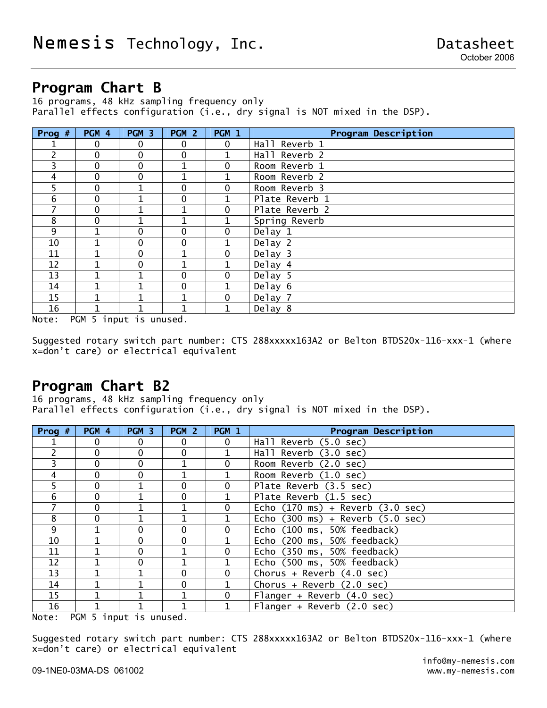### **Program Chart B**

16 programs, 48 kHz sampling frequency only Parallel effects configuration (i.e., dry signal is NOT mixed in the DSP).

| Prog $#$ | PGM 4 | PGM 3        | PGM <sub>2</sub> | PGM 1        | <b>Program Description</b> |
|----------|-------|--------------|------------------|--------------|----------------------------|
|          | 0     | $\mathbf{0}$ | $\mathbf{0}$     | $\mathbf 0$  | Hall Reverb 1              |
| 2        | 0     | $\mathbf 0$  | $\mathbf 0$      | 1            | Hall Reverb 2              |
| 3        | 0     | $\mathbf 0$  | 1                | $\mathbf 0$  | Room Reverb 1              |
| 4        | 0     | $\mathbf 0$  | 1                | 1            | Room Reverb 2              |
| 5        | 0     | $\mathbf{1}$ | $\Omega$         | 0            | Room Reverb 3              |
| 6        | 0     | $\mathbf{1}$ | 0                | $\mathbf{1}$ | Plate Reverb 1             |
| 7        | 0     | 1            | 1                | $\mathbf 0$  | Plate Reverb 2             |
| 8        | 0     |              | 1                | 1            | Spring Reverb              |
| 9        |       | $\Omega$     | $\Omega$         | $\mathbf 0$  | $\overline{De}$ lay 1      |
| 10       |       | $\Omega$     | $\Omega$         | 1            | Delay 2                    |
| 11       |       | $\mathbf 0$  | 1                | $\mathbf 0$  | Delay 3                    |
| 12       | 1     | $\mathbf 0$  | 1                | $\mathbf{1}$ | Delay 4                    |
| 13       |       |              | $\Omega$         | $\mathbf 0$  | Delay 5                    |
| 14       |       |              | $\mathbf 0$      | 1            | Delay 6                    |
| 15       | 1     | 1            | 1                | $\mathbf 0$  | Delay 7                    |
| 16       | 1     | 1            | 1                | 1            | Delay 8                    |

Note: PGM 5 input is unused.

Suggested rotary switch part number: CTS 288xxxxx163A2 or Belton BTDS20x-116-xxx-1 (where x=don't care) or electrical equivalent

### **Program Chart B2**

16 programs, 48 kHz sampling frequency only Parallel effects configuration (i.e., dry signal is NOT mixed in the DSP).

| Prog $#$ | PGM 4    | PGM 3    | PGM <sub>2</sub> | PGM 1        | <b>Program Description</b>                           |
|----------|----------|----------|------------------|--------------|------------------------------------------------------|
|          | $\Omega$ | $\Omega$ | 0                | $\mathbf{0}$ | Hall Reverb (5.0 sec)                                |
| 2        | 0        | $\Omega$ | $\mathbf{0}$     |              | Hall Reverb (3.0 sec)                                |
| 3        | 0        | $\Omega$ |                  | $\mathbf 0$  | Room Reverb (2.0 sec)                                |
| 4        | $\Omega$ | $\Omega$ |                  | 1            | Room Reverb (1.0 sec)                                |
| 5        | 0        |          | $\Omega$         | 0            | Plate Reverb (3.5 sec)                               |
| 6        | 0        |          | $\Omega$         | 1            | Plate Reverb (1.5 sec)                               |
| 7        | 0        |          | 1                | $\mathbf 0$  | Echo $(170 \text{ ms})$ + Reverb $(3.0 \text{ sec})$ |
| 8        | 0        |          |                  |              | Echo $(300 \text{ ms})$ + Reverb $(5.0 \text{ sec})$ |
| 9        |          | $\Omega$ | $\Omega$         | $\Omega$     | Echo (100 ms, 50% feedback)                          |
| 10       |          | $\Omega$ | $\Omega$         | 1            | Echo (200 ms, 50% feedback)                          |
| 11       |          | $\Omega$ | 1                | $\mathbf 0$  | Echo (350 ms, 50% feedback)                          |
| 12       |          | $\Omega$ | 1                | $\mathbf{1}$ | Echo (500 ms, 50% feedback)                          |
| 13       |          |          | $\Omega$         | $\mathbf 0$  | Chorus + Reverb $(4.0 \text{ sec})$                  |
| 14       |          |          | $\mathbf{0}$     |              | Chorus + Reverb $(2.0 \text{ sec})$                  |
| 15       |          |          | 1                | $\mathbf 0$  | Flanger + Reverb $(4.0 \text{ sec})$                 |
| 16       |          |          |                  |              | Flanger + Reverb $(2.0 \text{ sec})$                 |

Note: PGM 5 input is unused.

Suggested rotary switch part number: CTS 288xxxxx163A2 or Belton BTDS20x-116-xxx-1 (where x=don't care) or electrical equivalent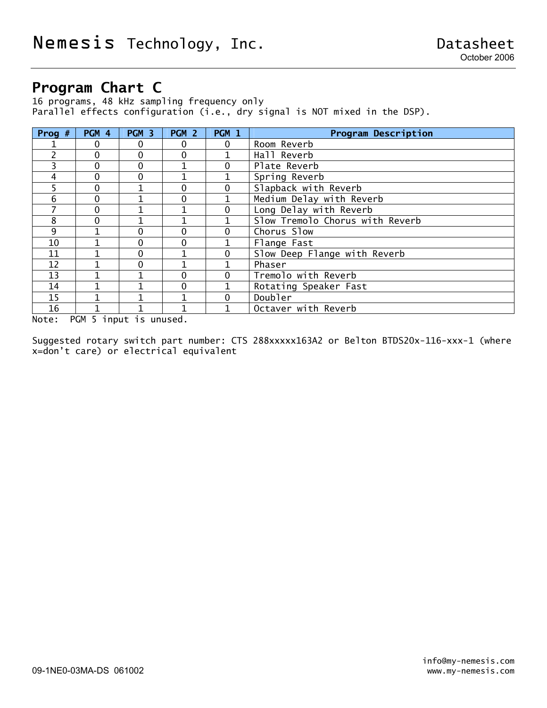# **Program Chart C**

16 programs, 48 kHz sampling frequency only Parallel effects configuration (i.e., dry signal is NOT mixed in the DSP).

| Prog $#$       | PGM 4 | PGM 3    | PGM <sub>2</sub> | PGM 1       | <b>Program Description</b>      |
|----------------|-------|----------|------------------|-------------|---------------------------------|
|                | 0     | $\Omega$ | 0                | $\mathbf 0$ | Room Reverb                     |
| $\overline{2}$ | 0     | $\Omega$ | 0                |             | Hall Reverb                     |
| 3              | 0     | $\Omega$ |                  | 0           | Plate Reverb                    |
| 4              | 0     | $\Omega$ |                  |             | Spring Reverb                   |
| 5              | 0     | 1        | 0                | 0           | Slapback with Reverb            |
| 6              | 0     |          | 0                |             | Medium Delay with Reverb        |
|                | 0     |          | 1                | 0           | Long Delay with Reverb          |
| 8              | 0     |          |                  |             | Slow Tremolo Chorus with Reverb |
| 9              |       | $\Omega$ | 0                | 0           | Chorus Slow                     |
| 10             |       | $\Omega$ | 0                |             | Flange Fast                     |
| 11             |       | $\Omega$ |                  | 0           | Slow Deep Flange with Reverb    |
| 12             |       | $\Omega$ |                  |             | Phaser                          |
| 13             |       |          | 0                | 0           | Tremolo with Reverb             |
| 14             |       |          | 0                |             | Rotating Speaker Fast           |
| 15             |       |          |                  | 0           | Doubler                         |
| 16             |       |          |                  |             | Octaver with Reverb             |

Note: PGM 5 input is unused.

Suggested rotary switch part number: CTS 288xxxxx163A2 or Belton BTDS20x-116-xxx-1 (where x=don't care) or electrical equivalent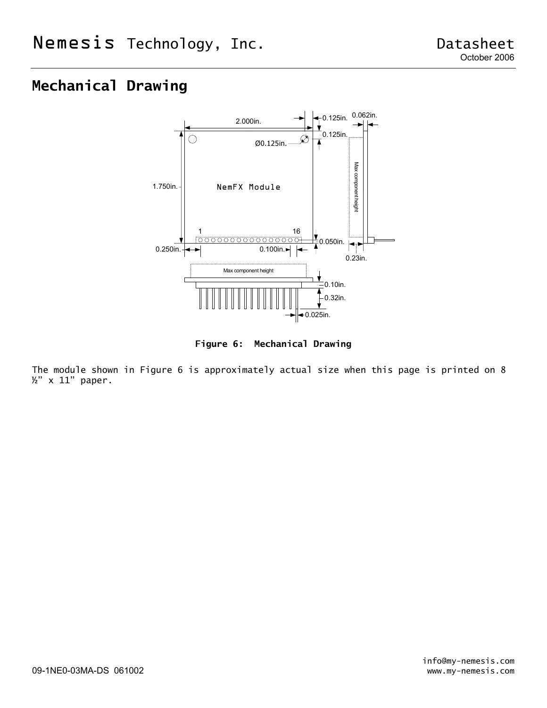# **Mechanical Drawing**



**Figure 6: Mechanical Drawing** 

The module shown in Figure 6 is approximately actual size when this page is printed on 8 ½" x 11" paper.